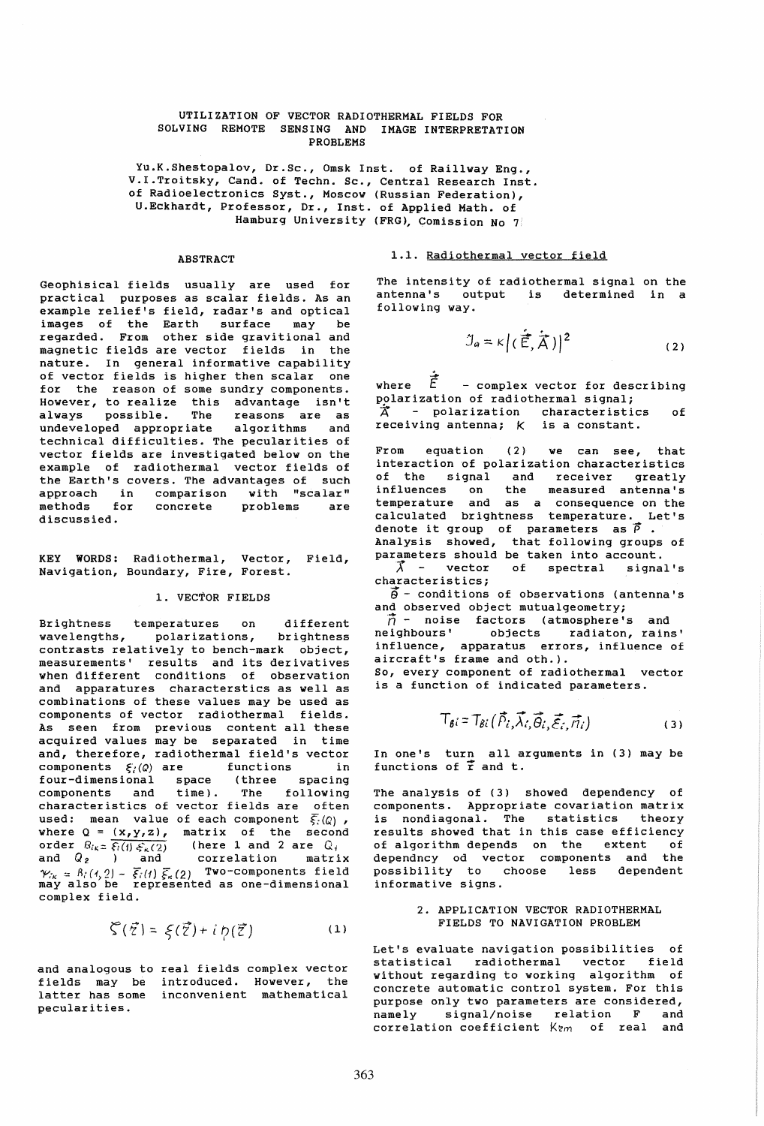#### UTILIZATION OF VECTOR RADIOTHERMAL FIELDS FOR SOLVING REMOTE SENSING AND IMAGE INTERPRETATION PROBLEMS

Yu.K.Shestopalov, Dr.Sc., Omsk Inst. of Raillway Eng., V.I.Troitsky, Cand. of Techn. Sc., Central Research Inst. of Radioelectronics Syst., Moscow (Russian Federation), U.Eckhardt, Professor, Dr., Inst. of Applied Math. of Hamburg University (FRG), Comission No 7

#### **ABSTRACT**

Geophisical fields usually are used for practical purposes as scalar fields. As an example relief's field, radar's and optical images of the Earth surface may be regarded. From other side gravitional and magnetic fields are vector fields in the nature. In general informative capability of vector fields is higher then scalar one for the reason of some sundry components. However, to realize this advantage isn't always possible. The reasons are as undeveloped appropriate algorithms and undeveloped appropriate algorithms and<br>technical difficulties. The pecularities of vector fields are investigated below on the example of radiothermal vector fields of the Earth's covers. The advantages of such approach in comparison with "scalar" nethods for concrete problems are discussied.

KEY WORDS: Radiothermal, Vector, Field, Navigation, Boundary, Fire, Forest.

## 1. VECTOR FIELDS

Brightness temperatures on different wavelengths, polarizations, brightness contrasts relatively to bench-mark object, measurements' results and its derivatives when different conditions of observation and apparatures characterstics as well as combinations of these values may be used as components of vector radiothermal fields. As seen from previous content all these acquired values may be separated in time and, therefore, radiothermal field's vector components  $\xi_i(Q)$  are functions in four-dimensional space (three spacing components and time). The following characteristics of vector fields are often used: mean value of each component  $\overline{\xi_i}(Q)$ , where  $Q = (x,y,z)$ , matrix of the second order  $B_{i_{\kappa}} \equiv \overline{\xi_i(t) \xi_{\kappa}(2)}$  (here 1 and 2 are  $Q_i$ ) and  $Q_2$  ) and correlation matrix  $\mathcal{V}_{ik} = \hat{B_i}(4,2) - \overline{\xi_i}(t) \overline{\xi_k}(2)$  Two-components field  $\lim_{n \to \infty} \frac{m(n, 2)}{2}$  satisfied as one-dimensional complex field.

$$
\zeta(\vec{z}) = \xi(\vec{z}) + i \eta(\vec{z}) \tag{1}
$$

and analogous to real fields complex vector fields may be introduced. However, the latter has some inconvenient mathematical pecularities.

1.1. Radiothermal vector field

The intensity of radiothermal signal on the antenna's output is determined in a following way.

$$
\mathcal{I}_a = \kappa \left| \left( \dot{\vec{E}}, \dot{\vec{A}} \right) \right|^2 \tag{2}
$$

where  $\dot{\vec{E}}$  - complex vector for describing polarization of radiothermal signal;  $\overrightarrow{A}$  - polarization characteristics of receiving antenna;  $K$  is a constant.

From equation (2) we can see, that interaction of polarization characteristics of the signal and receiver greatly influences on the measured antenna's temperature and as a consequence on the calculated brightness temperature. Let's denote it group of parameters as  $\vec{\rho}$  .<br>Analysis showed, that following groups of parameters should be taken into account.

 $\vec{\lambda}$  - vector of spectral signal's characteristics;

 $\vec{\theta}$  - conditions of observations (antenna's and observed object mutualgeometry;

 $\vec{\hat{n}}$  - noise factors (atmosphere's and<br>neighbours' objects radiaton, rains objects radiaton, rains' influence, apparatus errors, influence of aircraft's frame and oth.). So, every component of radiothermal vector

is a function of indicated parameters.

$$
T_{\beta i} = T_{\beta i}(\vec{P}_i, \vec{\lambda}_i, \vec{\Theta}_i, \vec{\varepsilon}_i, \vec{n}_i)
$$
 (3)

In one's turn all arguments in (3) may be **functions of r**  and t.

The analysis of (3) showed dependency of components. Appropriate covariation matrix is nondiagonal. The statistics theory results showed that in this case efficiency of algorithm depends on the extent of dependncy od vector components and the possibility to choose less dependent informative signs.

# 2. APPLICATION VECTOR RADIOTHERMAL FIELDS TO NAVIGATION PROBLEM

Let's evaluate navigation possibilities of statistical radiothermal vector field without regarding to working algorithm of concrete automatic control system. For this purpose only two parameters are considered, namely signal/noise relation F and correlation coefficient  $K_{2m}$  of real and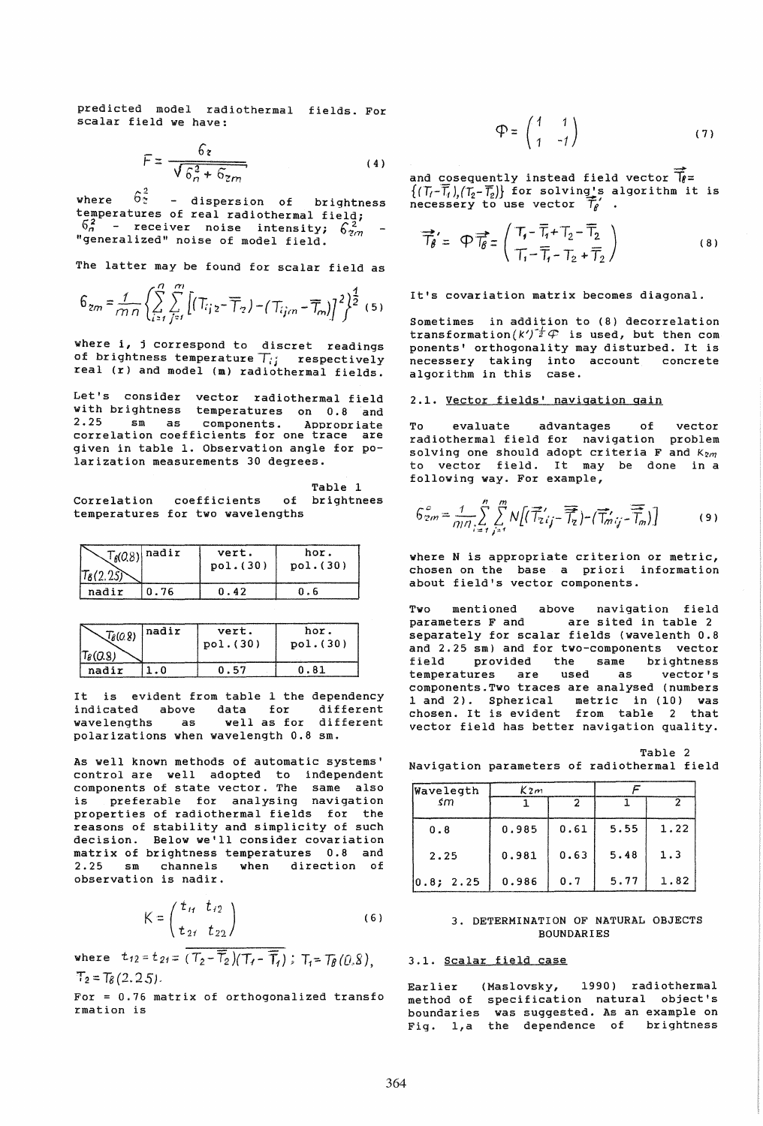predicted model radiothermal fields. For scalar field we have:

$$
F = \frac{6z}{\sqrt{6_n^2 + 6z_m}}
$$
 (4)

where  $6^{2}_{z}$  - dispersion of brightness temperatures of real radiothermal field;  $\frac{62}{6n}$  - receiver noise intensity;  $6\frac{2}{2}$ <br>"generalized" noise of model field.

The latter may be found for scalar field as

$$
6_{zm}=\frac{1}{mn}\left\{\sum\limits_{i=1}^{n}\sum\limits_{j=1}^{m}\left[(T_{ijz}-\overline{T}_{z})-(T_{ijm}-\overline{T}_{m})\right]^{2}\right\}^{\frac{1}{2}}(5)
$$

where i, j correspond to discret readings of brightness temperature  $T_{ij}$  respectively real (r) and model (m) radiothermal fields.

Let's consider vector radiothermal field with brightness temperatures on  $0.8$  and  $2.25$  sm as components Appropriate sm as components. Appropriate correlation coefficients for one trace are given in table 1. Observation angle for polarization measurements 30 degrees.

Table 1<br>of brightnees Correlation coefficients temperatures for two wavelengths

| $\tau_{6}(2.25)$ | $\mathcal{T}_{\beta}(0.8)$ nadir | vert.<br>pol. (30) | hor.<br>pol.(30) |
|------------------|----------------------------------|--------------------|------------------|
| nadir            | 0.76                             | 0.42               | ი. ნ             |

| $\sqrt{\hat{\epsilon}(0.8)}$ | Inadir | vert.     | hor.     |
|------------------------------|--------|-----------|----------|
|                              |        | pol. (30) | pol.(30) |
| $\mathcal{T}_{B}(0.8)$       |        |           |          |
| nadir                        |        | 0.57      | N. 81    |

It is evident from table 1 the dependency<br>indicated above data for different indicated above<br>wavelengths as as well as for different polarizations when wavelength 0.8 sm.

As well known methods of automatic systems' control are well adopted to independent components of state vector. The same also is preferable for analysing navigation properties of radiothermal fields for the reasons of stability and simplicity of such decision. Below we'll consider covariation matrix of brightness temperatures 0.8 and 2.25 sm channels when direction of observation is nadir.

$$
K = \begin{pmatrix} t_{11} & t_{12} \\ t_{21} & t_{22} \end{pmatrix}
$$
 (6)

where  $t_{12} = t_{21} = (T_2 - \overline{T}_2)(T_1 - \overline{T}_1)$ ;  $T_1 = T_B(0.8)$ ,  $T_2 = T_8 (2.25)$ .

For = 0.76 matrix of orthogonalized transfo rmation is

$$
\mathfrak{P} = \begin{pmatrix} 1 & 1 \\ 1 & -1 \end{pmatrix} \tag{7}
$$

and cosequently instead field vector  $\vec{p}$ =  $\{(\bar{T}_i-\overline{\bar{T}}_i),(\bar{T}_2-\overline{\bar{T}}_2)\}$  for solving's algorithm it is necessery to use vector  $\overline{\mathcal{T}}_{\theta}$  .

$$
\overrightarrow{T}_{\beta}^{\prime} = \varphi \overrightarrow{T}_{\beta} = \begin{pmatrix} T_{\gamma} - \overline{T}_{\gamma} + T_{2} - \overline{T}_{2} \\ T_{\gamma} - \overline{T}_{\gamma} - T_{2} + \overline{T}_{2} \end{pmatrix}
$$
 (8)

It's covariation matrix becomes diagonal.

Sometimes in addition to (8) decorrelation transformation $(k')^{\dagger}\ell$  is used, but then com ponents' orthogonality may disturbed. It is .<br>necessery taking into account concrete algorithm in this case.

## 2.1. Vector fields' navigation gain

To evaluate advantages of vector radiothermal field for navigation problem solving one should adopt criteria F and  $K_{2m}$ to vector field. It may be done in a following way. For example,

$$
G_{2m}^{c} = \frac{1}{m!} \sum_{i=1}^{n} \sum_{j=1}^{m} N\left[\left(\overrightarrow{T}_{2ij} - \overrightarrow{\overrightarrow{T}_{2}}\right) - \left(\overrightarrow{T}_{mij} - \overrightarrow{\overrightarrow{T}_{m}}\right)\right]
$$
(9)

where N is appropriate criterion or metric, chosen on the base a priori information about field's vector components.

Two mentioned above navigation field parameters F and are sited in table 2 separately for scalar fields (wavelenth 0.8 and 2.25 sm) and for two-components vector field provided the same brightness<br>temperatures are used as vector's temperatures are components.Two traces are analysed (numbers 1 and 2). Spherical metric in (10) was chosen. It is evident from table 2 that vector field has better navigation quality.

Table 2 Navigation parameters of radiothermal field

| Wavelegth | K2m   |      |      |      |
|-----------|-------|------|------|------|
| śm        |       | 2    |      | 2    |
| 0.8       | 0.985 | 0.61 | 5.55 | 1.22 |
| 2.25      | 0.981 | 0.63 | 5.48 | 1.3  |
| 0.8; 2.25 | 0.986 | 0.7  | 5.77 | 1.82 |

## 3. DETERMINATION OF NATURAL OBJECTS BOUNDARIES

#### 3.1. Scalar field case

Earlier (Maslovsky, 1990) radiothermal method of specification natural object's boundaries was suggested. As an example on Fig. l,a the dependence of brightness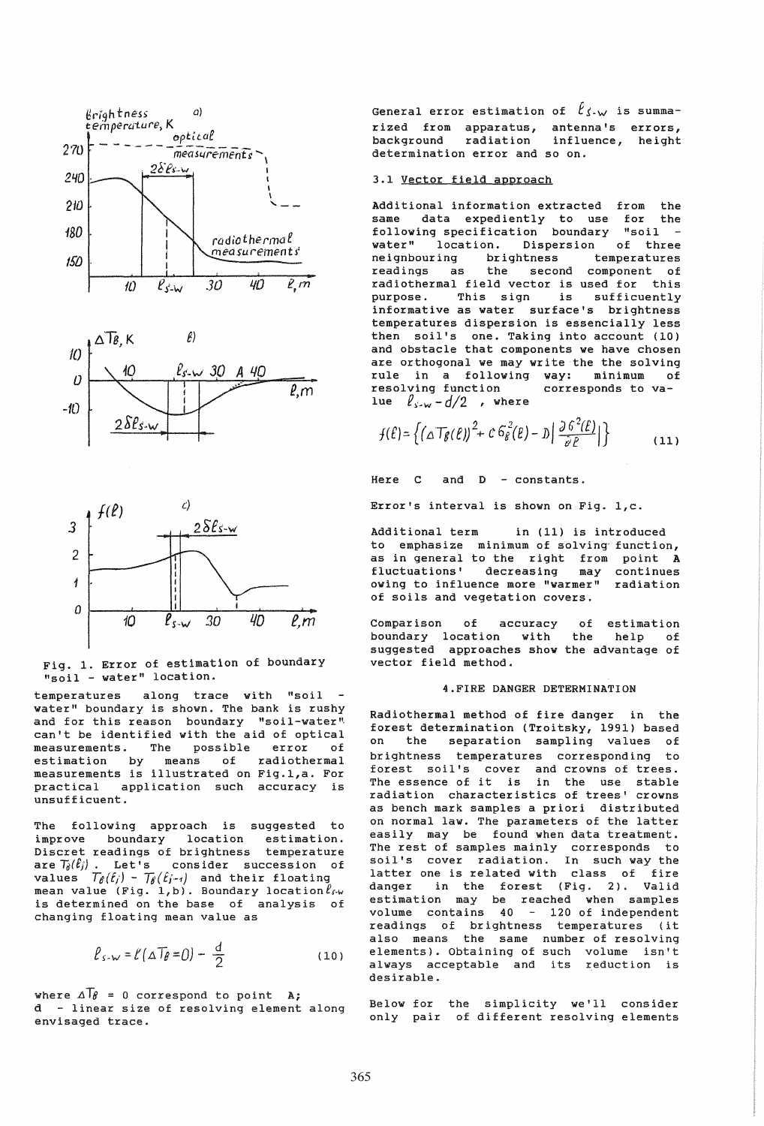





Fig. 1. Error of estimation of boundary "soil - water" location.

along trace with "soil temperatures water" boundary is shown. The bank is rushy and for this reason boundary "soil-water" can't be identified with the aid of optical measurements. The possible error of estimation by means of radiothermal measurements is illustrated on Fig.1,a. For practical application such accuracy is unsufficuent.

The following approach is suggested to improve boundary location estimation. Discret readings of brightness temperature are  $T_{\theta}(\ell_j)$ . Let's consider succession of<br>values  $T_{\theta}(\ell_j) - T_{\theta}(\ell_{j-1})$  and their floating<br>mean value (Fig. 1,b). Boundary location  $\ell_{\ell-w}$ is determined on the base of analysis of changing floating mean value as

$$
\ell_{\text{S-W}} = \ell (\Delta T_{\beta} = 0) - \frac{d}{2} \tag{10}
$$

where  $\Delta T_{\theta} = 0$  correspond to point  $A$ ; d - linear size of resolving element along envisaged trace.

General error estimation of  $\ell_{\text{S-W}}$  is summarized from apparatus, antenna's errors, background radiation influence, height determination error and so on.

## 3.1 Vector field approach

Additional information extracted from the same data expediently to use for the<br>following specification boundary "soil water" location. Dispersion of three brightness neianhourina temperatures readings as the second component of radiothermal field vector is used for this This sign is sufficuently purpose. informative as water surface's brightness temperatures dispersion is essencially less then soil's one. Taking into account (10) and obstacle that components we have chosen are orthogonal we may write the the solving rule in a following way: minimum of resolving function corresponds to value  $l_{\text{cm}} - d/2$  , where

$$
f(\ell) = \left\{ \left( \Delta T_{\beta}(\ell) \right)^2 + c \, 6_{\ell}^2(\ell) - D \left| \frac{\partial^2 \ell(\ell)}{\partial \ell} \right| \right\} \tag{11}
$$

Here C and D - constants.

Error's interval is shown on Fig. 1,c.

Additional term in (11) is introduced to emphasize minimum of solving function, as in general to the right from point A fluctuations' decreasing may continues<br>owing to influence more "warmer" radiation of soils and vegetation covers.

 $\circ$  f of estimation Comparison accuracy boundary location with the help  $of$ suggested approaches show the advantage of vector field method.

#### 4. FIRE DANGER DETERMINATION

Radiothermal method of fire danger in the forest determination (Troitsky, 1991) based on the separation sampling values of brightness temperatures corresponding to forest soil's cover and crowns of trees. The essence of it is in the use stable radiation characteristics of trees' crowns as bench mark samples a priori distributed on normal law. The parameters of the latter easily may be found when data treatment. The rest of samples mainly corresponds to<br>soil's cover radiation. In such way the<br>latter one is related with class of fire in the forest (Fig. 2). Valid danger estimation may be reached when samples<br>volume contains 40 - 120 of independent readings of brightness temperatures (it also means the same number of resolving elements). Obtaining of such volume isn't always acceptable and its reduction is desirable.

Below for the simplicity we'll consider only pair of different resolving elements